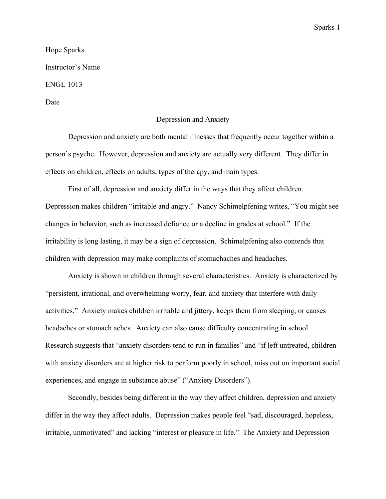# Hope Sparks Instructor's Name ENGL 1013 Date

## Depression and Anxiety

Depression and anxiety are both mental illnesses that frequently occur together within a person's psyche. However, depression and anxiety are actually very different. They differ in effects on children, effects on adults, types of therapy, and main types.

First of all, depression and anxiety differ in the ways that they affect children. Depression makes children "irritable and angry." Nancy Schimelpfening writes, "You might see changes in behavior, such as increased defiance or a decline in grades at school." If the irritability is long lasting, it may be a sign of depression. Schimelpfening also contends that children with depression may make complaints of stomachaches and headaches.

Anxiety is shown in children through several characteristics. Anxiety is characterized by "persistent, irrational, and overwhelming worry, fear, and anxiety that interfere with daily activities." Anxiety makes children irritable and jittery, keeps them from sleeping, or causes headaches or stomach aches. Anxiety can also cause difficulty concentrating in school. Research suggests that "anxiety disorders tend to run in families" and "if left untreated, children with anxiety disorders are at higher risk to perform poorly in school, miss out on important social experiences, and engage in substance abuse" ("Anxiety Disorders").

Secondly, besides being different in the way they affect children, depression and anxiety differ in the way they affect adults. Depression makes people feel "sad, discouraged, hopeless, irritable, unmotivated" and lacking "interest or pleasure in life." The Anxiety and Depression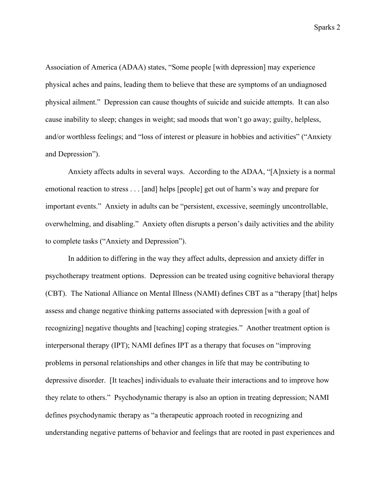Association of America (ADAA) states, "Some people [with depression] may experience physical aches and pains, leading them to believe that these are symptoms of an undiagnosed physical ailment." Depression can cause thoughts of suicide and suicide attempts. It can also cause inability to sleep; changes in weight; sad moods that won't go away; guilty, helpless, and/or worthless feelings; and "loss of interest or pleasure in hobbies and activities" ("Anxiety and Depression").

Anxiety affects adults in several ways. According to the ADAA, "[A]nxiety is a normal emotional reaction to stress . . . [and] helps [people] get out of harm's way and prepare for important events." Anxiety in adults can be "persistent, excessive, seemingly uncontrollable, overwhelming, and disabling." Anxiety often disrupts a person's daily activities and the ability to complete tasks ("Anxiety and Depression").

In addition to differing in the way they affect adults, depression and anxiety differ in psychotherapy treatment options. Depression can be treated using cognitive behavioral therapy (CBT). The National Alliance on Mental Illness (NAMI) defines CBT as a "therapy [that] helps assess and change negative thinking patterns associated with depression [with a goal of recognizing] negative thoughts and [teaching] coping strategies." Another treatment option is interpersonal therapy (IPT); NAMI defines IPT as a therapy that focuses on "improving problems in personal relationships and other changes in life that may be contributing to depressive disorder. [It teaches] individuals to evaluate their interactions and to improve how they relate to others." Psychodynamic therapy is also an option in treating depression; NAMI defines psychodynamic therapy as "a therapeutic approach rooted in recognizing and understanding negative patterns of behavior and feelings that are rooted in past experiences and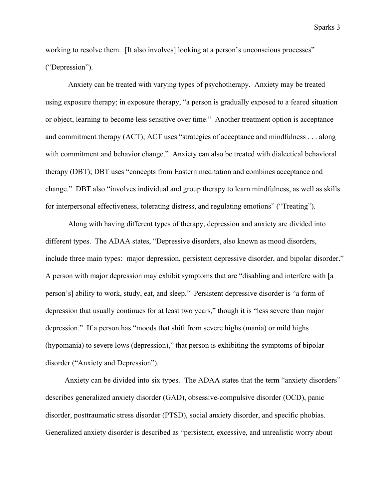working to resolve them. [It also involves] looking at a person's unconscious processes" ("Depression").

Anxiety can be treated with varying types of psychotherapy. Anxiety may be treated using exposure therapy; in exposure therapy, "a person is gradually exposed to a feared situation or object, learning to become less sensitive over time." Another treatment option is acceptance and commitment therapy (ACT); ACT uses "strategies of acceptance and mindfulness . . . along with commitment and behavior change." Anxiety can also be treated with dialectical behavioral therapy (DBT); DBT uses "concepts from Eastern meditation and combines acceptance and change." DBT also "involves individual and group therapy to learn mindfulness, as well as skills for interpersonal effectiveness, tolerating distress, and regulating emotions" ("Treating").

Along with having different types of therapy, depression and anxiety are divided into different types. The ADAA states, "Depressive disorders, also known as mood disorders, include three main types: major depression, persistent depressive disorder, and bipolar disorder." A person with major depression may exhibit symptoms that are "disabling and interfere with [a person's] ability to work, study, eat, and sleep." Persistent depressive disorder is "a form of depression that usually continues for at least two years," though it is "less severe than major depression." If a person has "moods that shift from severe highs (mania) or mild highs (hypomania) to severe lows (depression)," that person is exhibiting the symptoms of bipolar disorder ("Anxiety and Depression").

Anxiety can be divided into six types. The ADAA states that the term "anxiety disorders" describes generalized anxiety disorder (GAD), obsessive-compulsive disorder (OCD), panic disorder, posttraumatic stress disorder (PTSD), social anxiety disorder, and specific phobias. Generalized anxiety disorder is described as "persistent, excessive, and unrealistic worry about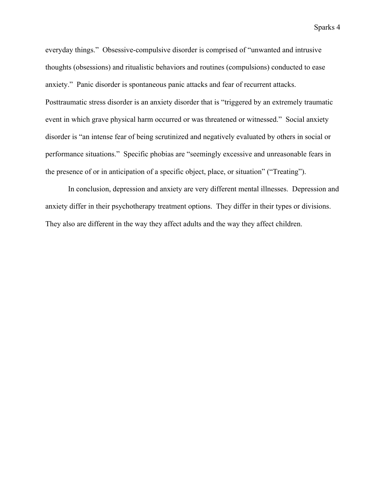everyday things." Obsessive-compulsive disorder is comprised of "unwanted and intrusive thoughts (obsessions) and ritualistic behaviors and routines (compulsions) conducted to ease anxiety." Panic disorder is spontaneous panic attacks and fear of recurrent attacks. Posttraumatic stress disorder is an anxiety disorder that is "triggered by an extremely traumatic event in which grave physical harm occurred or was threatened or witnessed." Social anxiety disorder is "an intense fear of being scrutinized and negatively evaluated by others in social or performance situations." Specific phobias are "seemingly excessive and unreasonable fears in the presence of or in anticipation of a specific object, place, or situation" ("Treating").

In conclusion, depression and anxiety are very different mental illnesses. Depression and anxiety differ in their psychotherapy treatment options. They differ in their types or divisions. They also are different in the way they affect adults and the way they affect children.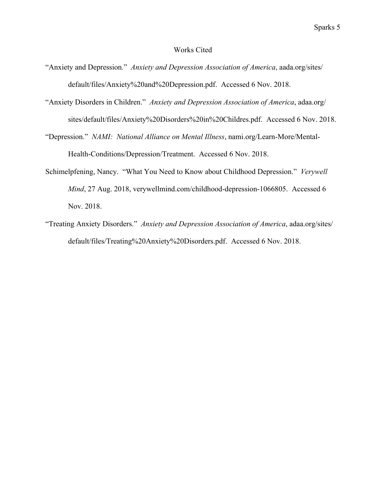#### Works Cited

- "Anxiety and Depression*.*" *Anxiety and Depression Association of America*, aada.org/sites/ default/files/Anxiety%20and%20Depression.pdf. Accessed 6 Nov. 2018.
- "Anxiety Disorders in Children." *Anxiety and Depression Association of America*, adaa.org/ sites/default/files/Anxiety%20Disorders%20in%20Childres.pdf. Accessed 6 Nov. 2018.
- "Depression." *NAMI: National Alliance on Mental Illness*, nami.org/Learn-More/Mental-Health-Conditions/Depression/Treatment. Accessed 6 Nov. 2018.
- Schimelpfening, Nancy. "What You Need to Know about Childhood Depression." *Verywell Mind*, 27 Aug. 2018, verywellmind.com/childhood-depression-1066805. Accessed 6 Nov. 2018.
- "Treating Anxiety Disorders." *Anxiety and Depression Association of America*, adaa.org/sites/ default/files/Treating%20Anxiety%20Disorders.pdf. Accessed 6 Nov. 2018.